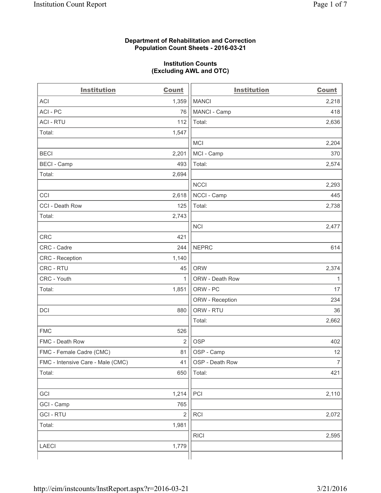### **Department of Rehabilitation and Correction Population Count Sheets - 2016-03-21**

#### **Institution Counts (Excluding AWL and OTC)**

| <b>Institution</b>                | <b>Count</b>            | <b>Institution</b> | <b>Count</b>   |
|-----------------------------------|-------------------------|--------------------|----------------|
| <b>ACI</b>                        | 1,359                   | <b>MANCI</b>       | 2,218          |
| ACI - PC                          | 76                      | MANCI - Camp       | 418            |
| <b>ACI - RTU</b>                  | 112                     | Total:             | 2,636          |
| Total:                            | 1,547                   |                    |                |
|                                   |                         | <b>MCI</b>         | 2,204          |
| <b>BECI</b>                       | 2,201                   | MCI - Camp         | 370            |
| <b>BECI</b> - Camp                | 493                     | Total:             | 2,574          |
| Total:                            | 2,694                   |                    |                |
|                                   |                         | <b>NCCI</b>        | 2,293          |
| CCI                               | 2,618                   | NCCI - Camp        | 445            |
| CCI - Death Row                   | 125                     | Total:             | 2,738          |
| Total:                            | 2,743                   |                    |                |
|                                   |                         | <b>NCI</b>         | 2,477          |
| <b>CRC</b>                        | 421                     |                    |                |
| CRC - Cadre                       | 244                     | <b>NEPRC</b>       | 614            |
| <b>CRC</b> - Reception            | 1,140                   |                    |                |
| CRC - RTU                         | 45                      | <b>ORW</b>         | 2,374          |
| CRC - Youth                       | $\mathbf{1}$            | ORW - Death Row    | 1              |
| Total:                            | 1,851                   | ORW - PC           | 17             |
|                                   |                         | ORW - Reception    | 234            |
| DCI                               | 880                     | ORW - RTU          | 36             |
|                                   |                         | Total:             | 2,662          |
| <b>FMC</b>                        | 526                     |                    |                |
| FMC - Death Row                   | $\overline{2}$          | <b>OSP</b>         | 402            |
| FMC - Female Cadre (CMC)          | 81                      | OSP - Camp         | 12             |
| FMC - Intensive Care - Male (CMC) | 41                      | OSP - Death Row    | $\overline{7}$ |
| Total:                            | 650                     | Total:             | 421            |
|                                   |                         |                    |                |
| GCI                               | 1,214                   | PCI                | 2,110          |
| GCI - Camp                        | 765                     |                    |                |
| <b>GCI-RTU</b>                    | $\overline{\mathbf{c}}$ | <b>RCI</b>         | 2,072          |
| Total:                            | 1,981                   |                    |                |
|                                   |                         | <b>RICI</b>        | 2,595          |
| LAECI                             | 1,779                   |                    |                |
|                                   |                         |                    |                |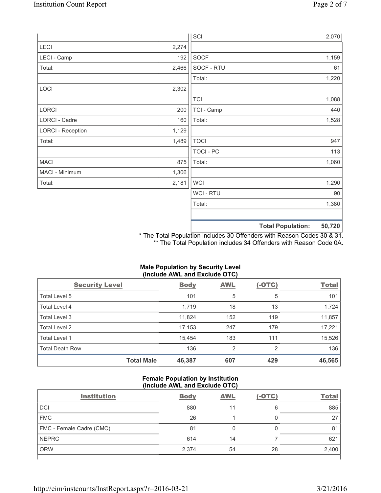|                          |       | SCI            |                          | 2,070  |
|--------------------------|-------|----------------|--------------------------|--------|
| LECI                     | 2,274 |                |                          |        |
| LECI - Camp              | 192   | SOCF           |                          | 1,159  |
| Total:                   | 2,466 | SOCF - RTU     |                          | 61     |
|                          |       | Total:         |                          | 1,220  |
| LOCI                     | 2,302 |                |                          |        |
|                          |       | <b>TCI</b>     |                          | 1,088  |
| LORCI                    | 200   | TCI - Camp     |                          | 440    |
| LORCI - Cadre            | 160   | Total:         |                          | 1,528  |
| <b>LORCI - Reception</b> | 1,129 |                |                          |        |
| Total:                   | 1,489 | <b>TOCI</b>    |                          | 947    |
|                          |       | TOCI - PC      |                          | 113    |
| <b>MACI</b>              | 875   | Total:         |                          | 1,060  |
| MACI - Minimum           | 1,306 |                |                          |        |
| Total:                   | 2,181 | <b>WCI</b>     |                          | 1,290  |
|                          |       | <b>WCI-RTU</b> |                          | 90     |
|                          |       | Total:         |                          | 1,380  |
|                          |       |                | <b>Total Population:</b> | 50,720 |

\* The Total Population includes 30 Offenders with Reason Codes 30 & 31. \*\* The Total Population includes 34 Offenders with Reason Code 0A.

| (Include AWL and Exclude OTC) |                   |             |            |               |              |  |
|-------------------------------|-------------------|-------------|------------|---------------|--------------|--|
| <b>Security Level</b>         |                   | <b>Body</b> | <b>AWL</b> | <u>(-OTC)</u> | <b>Total</b> |  |
| Total Level 5                 |                   | 101         | 5          | 5             | 101          |  |
| <b>Total Level 4</b>          |                   | 1.719       | 18         | 13            | 1,724        |  |
| Total Level 3                 |                   | 11,824      | 152        | 119           | 11,857       |  |
| Total Level 2                 |                   | 17,153      | 247        | 179           | 17,221       |  |
| Total Level 1                 |                   | 15,454      | 183        | 111           | 15,526       |  |
| <b>Total Death Row</b>        |                   | 136         | 2          | 2             | 136          |  |
|                               | <b>Total Male</b> | 46,387      | 607        | 429           | 46,565       |  |

# **Male Population by Security Level**

## **Female Population by Institution (Include AWL and Exclude OTC)**

| <b>Institution</b>       | <b>Body</b> | <b>AWL</b> | $(-OTC)$ | <b>Total</b> |
|--------------------------|-------------|------------|----------|--------------|
| <b>DCI</b>               | 880         | 11         | 6        | 885          |
| <b>FMC</b>               | 26          |            |          | 27           |
| FMC - Female Cadre (CMC) | 81          |            | 0        | 81           |
| <b>NEPRC</b>             | 614         | 14         |          | 621          |
| <b>ORW</b>               | 2,374       | 54         | 28       | 2,400        |
|                          |             |            |          |              |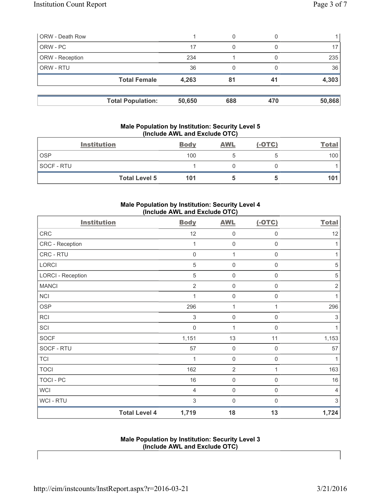| <b>ORW</b> - Death Row |                          |        | 0   |     |        |
|------------------------|--------------------------|--------|-----|-----|--------|
| ORW - PC               |                          | 17     | 0   |     |        |
| ORW - Reception        |                          | 234    |     |     | 235    |
| ORW - RTU              |                          | 36     |     |     | 36     |
|                        | <b>Total Female</b>      | 4,263  | 81  | 41  | 4,303  |
|                        | <b>Total Population:</b> | 50,650 | 688 | 470 | 50,868 |

#### **Male Population by Institution: Security Level 5 (Include AWL and Exclude OTC)**

|            | <b>Institution</b>   | <b>Body</b> | <b>AWL</b> | $(-OTC)$ | <b>Total</b> |
|------------|----------------------|-------------|------------|----------|--------------|
| <b>OSP</b> |                      | 100         |            |          | 100          |
| SOCF - RTU |                      |             |            |          |              |
|            | <b>Total Level 5</b> | 101         |            |          | 101          |

## **Male Population by Institution: Security Level 4 (Include AWL and Exclude OTC)**

| <b>Institution</b>       |                      | <b>Body</b>    | <b>AWL</b>          | $(-OTC)$            | <b>Total</b>              |
|--------------------------|----------------------|----------------|---------------------|---------------------|---------------------------|
| <b>CRC</b>               |                      | 12             | $\mathsf{O}\xspace$ | 0                   | 12                        |
| CRC - Reception          |                      | 1              | $\mathsf{O}\xspace$ | $\mathsf{O}\xspace$ | 1                         |
| CRC - RTU                |                      | $\mathsf 0$    | 1                   | $\mathsf{O}\xspace$ | 1                         |
| LORCI                    |                      | $\sqrt{5}$     | $\mathbf 0$         | $\mathsf 0$         | $\sqrt{5}$                |
| <b>LORCI - Reception</b> |                      | 5              | $\mathbf 0$         | 0                   | $\sqrt{5}$                |
| <b>MANCI</b>             |                      | $\overline{2}$ | $\mathsf{O}\xspace$ | 0                   | $\sqrt{2}$                |
| <b>NCI</b>               |                      |                | $\mathbf 0$         | 0                   | 1                         |
| <b>OSP</b>               |                      | 296            | 1                   | 1                   | 296                       |
| <b>RCI</b>               |                      | 3              | $\mathsf{O}\xspace$ | $\boldsymbol{0}$    | $\ensuremath{\mathsf{3}}$ |
| SCI                      |                      | $\mathbf 0$    | 1                   | $\mathbf 0$         | 1                         |
| <b>SOCF</b>              |                      | 1,151          | 13                  | 11                  | 1,153                     |
| SOCF - RTU               |                      | 57             | $\mathbf 0$         | $\boldsymbol{0}$    | 57                        |
| <b>TCI</b>               |                      | 1              | $\mathbf 0$         | 0                   | $\mathbf{1}$              |
| <b>TOCI</b>              |                      | 162            | $\overline{2}$      | 1                   | 163                       |
| <b>TOCI - PC</b>         |                      | 16             | $\mathbf 0$         | $\mathbf 0$         | 16                        |
| <b>WCI</b>               |                      | $\overline{4}$ | $\mathsf{O}\xspace$ | $\mathsf{O}\xspace$ | $\overline{4}$            |
| <b>WCI-RTU</b>           |                      | 3              | 0                   | $\mathbf 0$         | 3                         |
|                          | <b>Total Level 4</b> | 1,719          | 18                  | 13                  | 1,724                     |

## **Male Population by Institution: Security Level 3 (Include AWL and Exclude OTC)**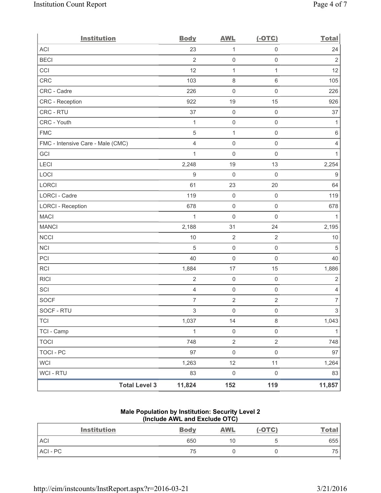| <b>Institution</b>                | <b>Body</b>    | <b>AWL</b>          | $(-OTC)$            | <b>Total</b>             |
|-----------------------------------|----------------|---------------------|---------------------|--------------------------|
| <b>ACI</b>                        | 23             | 1                   | $\mathsf{O}\xspace$ | 24                       |
| <b>BECI</b>                       | $\overline{2}$ | $\mathsf{O}\xspace$ | $\mathsf{O}\xspace$ | $\overline{2}$           |
| CCI                               | 12             | $\mathbf{1}$        | $\mathbf{1}$        | 12                       |
| CRC                               | 103            | $\,8\,$             | $\,6$               | 105                      |
| CRC - Cadre                       | 226            | $\mathsf{O}\xspace$ | $\mathsf{O}\xspace$ | 226                      |
| CRC - Reception                   | 922            | 19                  | 15                  | 926                      |
| CRC - RTU                         | 37             | $\mathbf 0$         | $\mathbf 0$         | 37                       |
| CRC - Youth                       | $\mathbf{1}$   | $\mathsf{O}\xspace$ | $\mathsf{O}\xspace$ | $\mathbf{1}$             |
| <b>FMC</b>                        | 5              | $\mathbf{1}$        | $\mathsf{O}\xspace$ | 6                        |
| FMC - Intensive Care - Male (CMC) | $\overline{4}$ | $\mathbf 0$         | $\mathsf{O}\xspace$ | $\overline{4}$           |
| GCI                               | $\mathbf{1}$   | $\mathsf{O}\xspace$ | $\mathsf{O}\xspace$ | $\mathbf{1}$             |
| LECI                              | 2,248          | 19                  | 13                  | 2,254                    |
| LOCI                              | 9              | $\mathbf 0$         | $\mathsf{O}\xspace$ | $\boldsymbol{9}$         |
| LORCI                             | 61             | 23                  | 20                  | 64                       |
| LORCI - Cadre                     | 119            | $\mathbf 0$         | $\mathsf{O}\xspace$ | 119                      |
| <b>LORCI - Reception</b>          | 678            | $\mathsf{O}\xspace$ | $\mathsf{O}\xspace$ | 678                      |
| <b>MACI</b>                       | 1              | $\mathsf{O}\xspace$ | $\mathbf 0$         | 1                        |
| <b>MANCI</b>                      | 2,188          | 31                  | 24                  | 2,195                    |
| <b>NCCI</b>                       | 10             | $\overline{2}$      | $\sqrt{2}$          | $10$                     |
| <b>NCI</b>                        | 5              | $\mathbf 0$         | $\mathsf{O}\xspace$ | 5                        |
| PCI                               | 40             | $\mathsf{O}\xspace$ | $\mathsf{O}\xspace$ | 40                       |
| RCI                               | 1,884          | 17                  | 15                  | 1,886                    |
| <b>RICI</b>                       | $\overline{2}$ | $\mathbf 0$         | $\mathsf{O}\xspace$ | $\sqrt{2}$               |
| SCI                               | $\overline{4}$ | $\mathsf{O}\xspace$ | $\mathsf{O}\xspace$ | 4                        |
| <b>SOCF</b>                       | $\overline{7}$ | $\sqrt{2}$          | $\sqrt{2}$          | $\overline{\mathcal{I}}$ |
| SOCF - RTU                        | 3              | $\mathsf{O}\xspace$ | $\mathsf{O}\xspace$ | 3                        |
| <b>TCI</b>                        | 1,037          | 14                  | $\,8\,$             | 1,043                    |
| TCI - Camp                        | $\mathbf{1}$   | $\mathsf{O}\xspace$ | $\mathsf{O}\xspace$ | $\mathbf{1}$             |
| <b>TOCI</b>                       | 748            | $\sqrt{2}$          | $\overline{2}$      | 748                      |
| <b>TOCI - PC</b>                  | 97             | $\mathsf 0$         | $\mathsf{O}\xspace$ | 97                       |
| <b>WCI</b>                        | 1,263          | 12                  | 11                  | 1,264                    |
| <b>WCI - RTU</b>                  | 83             | $\mathsf{O}\xspace$ | $\mathsf{O}\xspace$ | 83                       |
| <b>Total Level 3</b>              | 11,824         | 152                 | 119                 | 11,857                   |

## **Male Population by Institution: Security Level 2 (Include AWL and Exclude OTC)**

| <b>Body</b> | <b>AWL</b> | $(-OTC)$ | <u>Total</u> |
|-------------|------------|----------|--------------|
| 650         | 10         | ື        | 655          |
| 75          |            |          | 75           |
|             |            |          |              |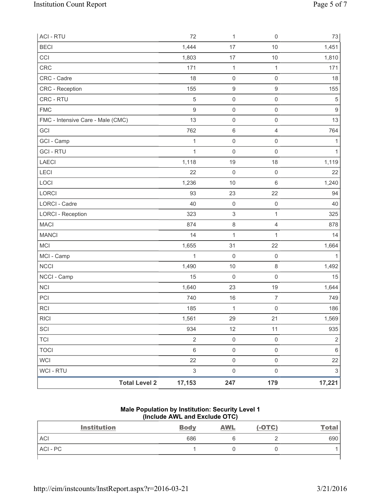| <b>Total Level 2</b>              | 17,153                    | 247                       | 179                     | 17,221                    |
|-----------------------------------|---------------------------|---------------------------|-------------------------|---------------------------|
| WCI - RTU                         | $\ensuremath{\mathsf{3}}$ | $\mathsf 0$               | $\mathsf{O}\xspace$     | $\ensuremath{\mathsf{3}}$ |
| <b>WCI</b>                        | 22                        | $\mathsf 0$               | $\mathsf 0$             | 22                        |
| <b>TOCI</b>                       | $\,6\,$                   | $\mathsf 0$               | $\mathsf{O}\xspace$     | $\,6$                     |
| <b>TCI</b>                        | $\sqrt{2}$                | $\mathsf{O}\xspace$       | $\mathsf{O}\xspace$     | $\sqrt{2}$                |
| SCI                               | 934                       | 12                        | 11                      | 935                       |
| <b>RICI</b>                       | 1,561                     | 29                        | 21                      | 1,569                     |
| <b>RCI</b>                        | 185                       | $\mathbf{1}$              | $\mathsf 0$             | 186                       |
| PCI                               | 740                       | 16                        | $\overline{7}$          | 749                       |
| <b>NCI</b>                        | 1,640                     | 23                        | 19                      | 1,644                     |
| NCCI - Camp                       | 15                        | $\mathbf 0$               | $\mathsf{O}\xspace$     | 15                        |
| <b>NCCI</b>                       | 1,490                     | 10                        | 8                       | 1,492                     |
| MCI - Camp                        | $\mathbf{1}$              | $\mathbf 0$               | $\mathbf 0$             | 1                         |
| <b>MCI</b>                        | 1,655                     | 31                        | 22                      | 1,664                     |
| <b>MANCI</b>                      | 14                        | $\mathbf{1}$              | 1                       | 14                        |
| <b>MACI</b>                       | 874                       | $\,8\,$                   | $\overline{\mathbf{4}}$ | 878                       |
| <b>LORCI - Reception</b>          | 323                       | $\ensuremath{\mathsf{3}}$ | $\mathbf{1}$            | 325                       |
| LORCI - Cadre                     | 40                        | $\mathsf{O}\xspace$       | $\mathsf 0$             | 40                        |
| LORCI                             | 93                        | 23                        | 22                      | 94                        |
| LOCI                              | 1,236                     | 10                        | $6\,$                   | 1,240                     |
| LECI                              | 22                        | $\mathbf 0$               | $\mathsf 0$             | 22                        |
| <b>LAECI</b>                      | 1,118                     | 19                        | 18                      | 1,119                     |
| <b>GCI - RTU</b>                  | $\mathbf{1}$              | $\mathsf{O}\xspace$       | $\mathsf{O}\xspace$     | $\mathbf{1}$              |
| GCI - Camp                        | $\mathbf 1$               | $\mathsf{O}\xspace$       | $\mathsf 0$             | 1                         |
| GCI                               | 762                       | $\,6\,$                   | $\overline{4}$          | 764                       |
| FMC - Intensive Care - Male (CMC) | 13                        | $\mathbf 0$               | $\mathsf{O}\xspace$     | 13                        |
| <b>FMC</b>                        | $\boldsymbol{9}$          | $\mathsf{O}\xspace$       | $\mathsf 0$             | $\hbox{9}$                |
| CRC - RTU                         | $\sqrt{5}$                | $\mathsf{O}\xspace$       | $\mathsf 0$             | $\sqrt{5}$                |
| CRC - Reception                   | 155                       | $\boldsymbol{9}$          | $\mathsf g$             | 155                       |
| CRC - Cadre                       | 18                        | $\mathsf{O}\xspace$       | $\mathsf{O}\xspace$     | 18                        |
| <b>CRC</b>                        | 171                       | $\mathbf 1$               | 1                       | 171                       |
| CCI                               | 1,803                     | 17                        | 10                      | 1,810                     |
| <b>BECI</b>                       | 1,444                     | 17                        | 10                      | 1,451                     |
| <b>ACI - RTU</b>                  | 72                        | 1                         | $\mathsf{O}\xspace$     | 73                        |

#### **Male Population by Institution: Security Level 1 (Include AWL and Exclude OTC)**

| <b>Institution</b> | <b>Body</b> | <b>AWL</b> | $(-OTC)$ | <u>Total</u> |
|--------------------|-------------|------------|----------|--------------|
| <b>ACI</b>         | 686         |            |          | 690          |
| ACI-PC             |             |            |          |              |
|                    |             |            |          |              |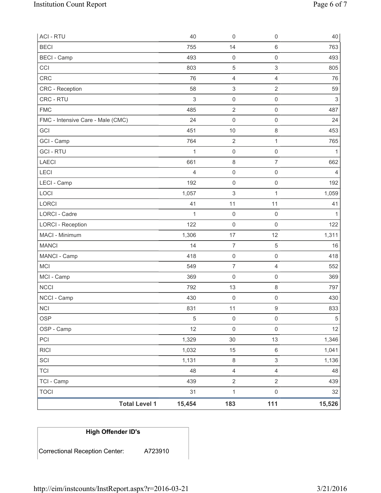| <b>ACI - RTU</b>                  |                      | 40             | $\mathsf{O}\xspace$ | $\mathsf 0$         | 40                        |
|-----------------------------------|----------------------|----------------|---------------------|---------------------|---------------------------|
| <b>BECI</b>                       |                      | 755            | 14                  | $\,6$               | 763                       |
| <b>BECI</b> - Camp                |                      | 493            | $\mathsf{O}\xspace$ | $\mathsf{O}\xspace$ | 493                       |
| CCI                               |                      | 803            | $\mathbf 5$         | 3                   | 805                       |
| CRC                               |                      | 76             | 4                   | 4                   | 76                        |
| <b>CRC</b> - Reception            |                      | 58             | 3                   | 2                   | 59                        |
| CRC - RTU                         |                      | $\mathsf 3$    | $\mathsf{O}\xspace$ | $\mathsf{O}\xspace$ | $\ensuremath{\mathsf{3}}$ |
| <b>FMC</b>                        |                      | 485            | $\mathbf 2$         | $\mathsf{O}\xspace$ | 487                       |
| FMC - Intensive Care - Male (CMC) |                      | 24             | $\mathsf{O}\xspace$ | $\mathsf{O}\xspace$ | 24                        |
| GCI                               |                      | 451            | 10                  | 8                   | 453                       |
| GCI - Camp                        |                      | 764            | $\sqrt{2}$          | 1                   | 765                       |
| <b>GCI-RTU</b>                    |                      | 1              | $\mathsf 0$         | $\mathsf{O}\xspace$ | 1                         |
| LAECI                             |                      | 661            | $\,8\,$             | $\overline{7}$      | 662                       |
| LECI                              |                      | $\overline{4}$ | $\mathsf{O}\xspace$ | $\mathsf{O}\xspace$ | $\overline{4}$            |
| LECI - Camp                       |                      | 192            | $\mathsf{O}\xspace$ | 0                   | 192                       |
| LOCI                              |                      | 1,057          | 3                   | 1                   | 1,059                     |
| <b>LORCI</b>                      |                      | 41             | 11                  | 11                  | 41                        |
| <b>LORCI - Cadre</b>              |                      | 1              | $\mathsf{O}\xspace$ | $\mathbf 0$         | 1                         |
| <b>LORCI - Reception</b>          |                      | 122            | $\mathsf{O}\xspace$ | $\mathbf 0$         | 122                       |
| MACI - Minimum                    |                      | 1,306          | 17                  | 12                  | 1,311                     |
| <b>MANCI</b>                      |                      | 14             | $\overline{7}$      | 5                   | 16                        |
| MANCI - Camp                      |                      | 418            | $\mathsf 0$         | $\mathsf{O}\xspace$ | 418                       |
| <b>MCI</b>                        |                      | 549            | $\overline{7}$      | $\overline{4}$      | 552                       |
| MCI - Camp                        |                      | 369            | $\mathsf{O}\xspace$ | $\mathsf{O}\xspace$ | 369                       |
| <b>NCCI</b>                       |                      | 792            | 13                  | 8                   | 797                       |
| NCCI - Camp                       |                      | 430            | $\mathbf 0$         | 0                   | 430                       |
| <b>NCI</b>                        |                      | 831            | 11                  | 9                   | 833                       |
| <b>OSP</b>                        |                      | 5              | $\mathsf{O}\xspace$ | $\mathsf{O}\xspace$ | $\sqrt{5}$                |
| OSP - Camp                        |                      | 12             | $\mathbf 0$         | $\mathsf{O}\xspace$ | 12                        |
| PCI                               |                      | 1,329          | 30                  | 13                  | 1,346                     |
| <b>RICI</b>                       |                      | 1,032          | 15                  | $\,6\,$             | 1,041                     |
| SCI                               |                      | 1,131          | $\,8\,$             | 3                   | 1,136                     |
| <b>TCI</b>                        |                      | 48             | $\overline{4}$      | $\overline{4}$      | 48                        |
| TCI - Camp                        |                      | 439            | $\overline{2}$      | $\overline{2}$      | 439                       |
| <b>TOCI</b>                       |                      | 31             | $\mathbf{1}$        | $\mathsf{O}\xspace$ | 32                        |
|                                   | <b>Total Level 1</b> | 15,454         | 183                 | 111                 | 15,526                    |

| High Offender ID's             |         |
|--------------------------------|---------|
| Correctional Reception Center: | A723910 |